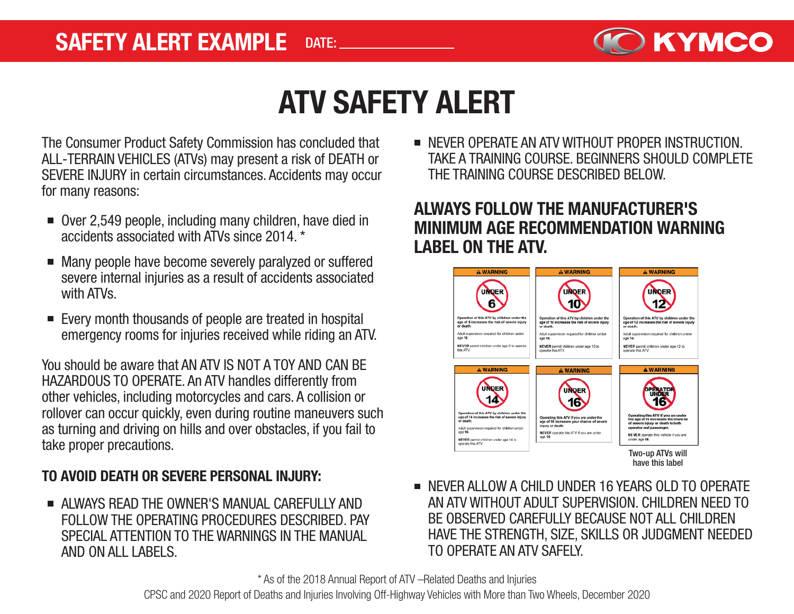

# ATV SAFETY ALERT

The Consumer Product Safety Commission has concluded that ALL-TERRAIN VEHICLES (ATVs) may present a risk of DEATH or SEVERE INJURY in certain circumstances. Accidents may occur for many reasons:

- Over 2,549 people, including many children, have died in accidents associated with ATVs since 2014. \*
- Many people have become severely paralyzed or suffered  $\blacksquare$ severe internal injuries as a result of accidents associated with ATVs.
- Every month thousands of people are treated in hospital emergency rooms for injuries received while riding an ATV.

You should be aware that AN ATV IS NOT A TOY AND CAN BE HAZARDOUS TO OPERATE. An ATV handles differently from other vehicles, including motorcycles and cars. A collision or rollover can occur quickly, even during routine maneuvers such as turning and driving on hills and over obstacles, if you fail to take proper precautions.

#### TO AVOID DEATH OR SEVERE PERSONAL INJURY:

ALWAYS READ THE OWNER'S MANUAL CAREFULLY AND FOLLOW THE OPERATING PROCEDURES DESCRIBED. PAY SPECIAL ATTENTION TO THE WARNINGS IN THE MANUAL AND ON ALL LABELS.

**NEVER OPERATE AN ATV WITHOUT PROPER INSTRUCTION.** TAKE A TRAINING COURSE. BEGINNERS SHOULD COMPLETE THE TRAINING COURSE DESCRIBED BELOW.

### ALWAYS FOLLOW THE MANUFACTURER'S MINIMUM AGE RECOMMENDATION WARNING LABEL ON THE ATV.



**NEVER ALLOW A CHILD UNDER 16 YEARS OLD TO OPERATE** AN ATV WITHOUT ADULT SUPERVISION. CHILDREN NEED TO BE OBSERVED CAREFULLY BECAUSE NOT ALL CHILDREN HAVE THE STRENGTH, SIZE, SKILLS OR JUDGMENT NEEDED TO OPERATE AN ATV SAFELY.